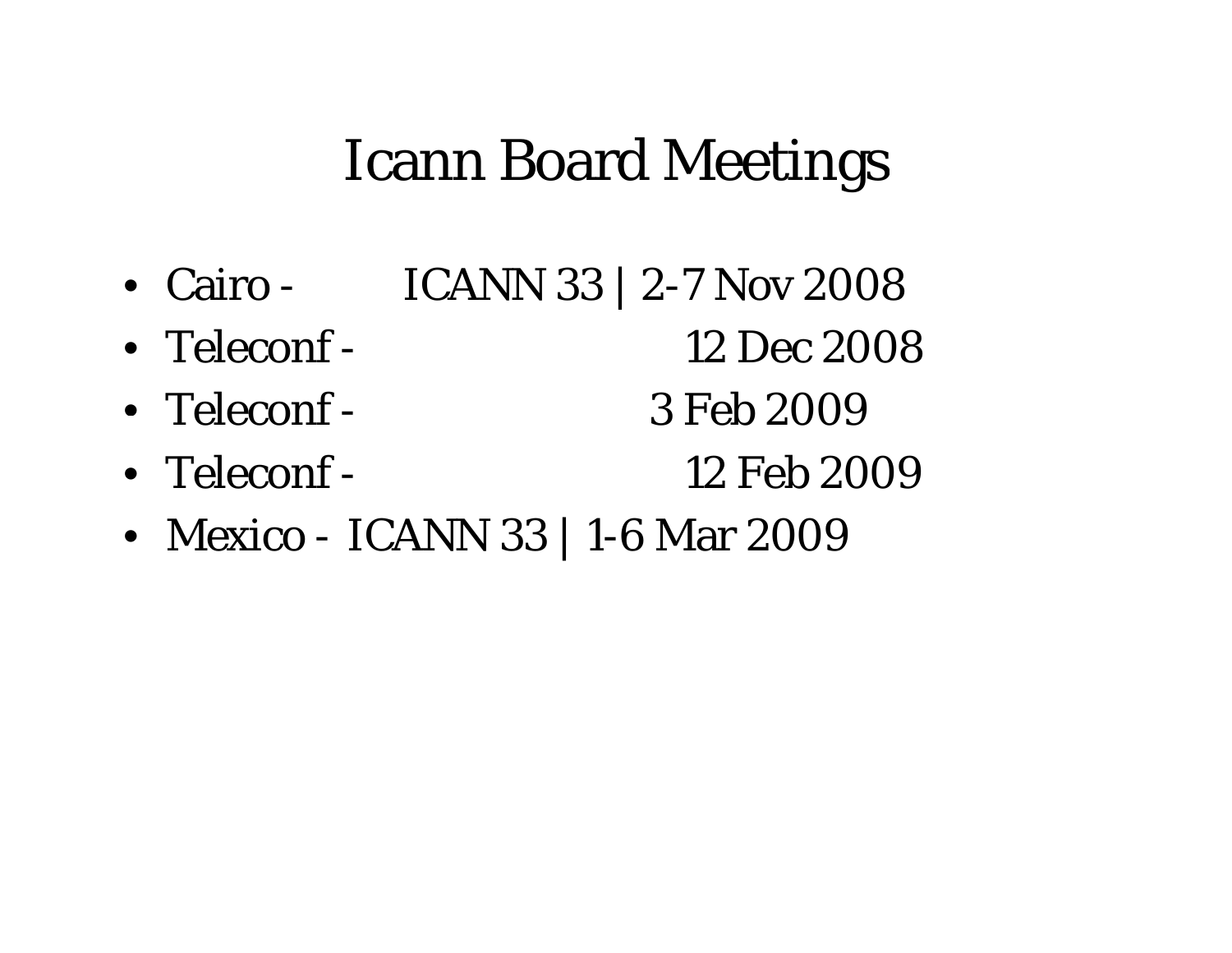### Icann Board Meetings

12 Feb 2009

- Cairo -- ICANN 33 | 2-7 Nov 2008
- Teleconf -12 Dec 2008
- Teleconf -3 Feb 2009
- Teleconf-
- Mexico -- ICANN 33 | 1-6 Mar 2009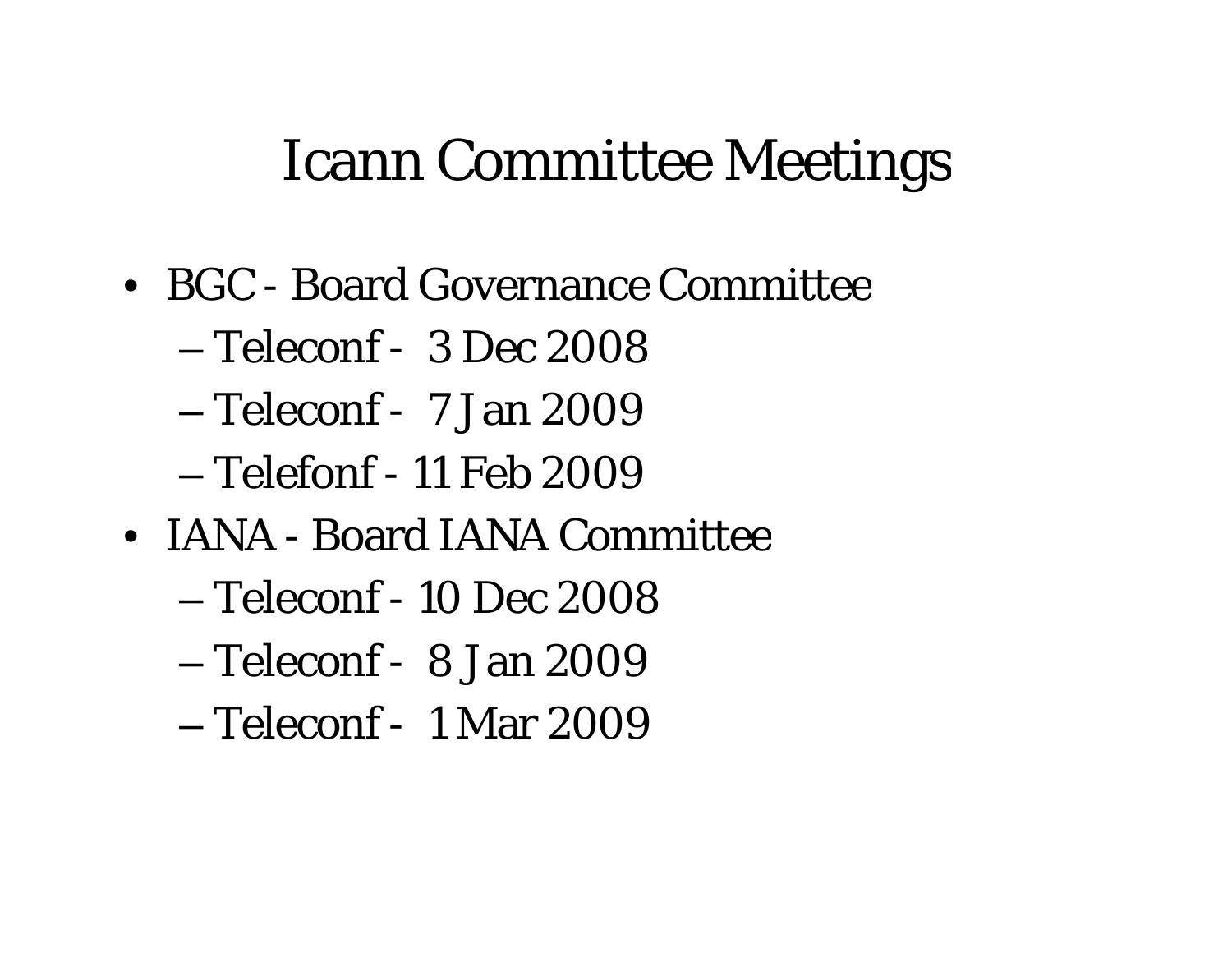### Icann Committee Meetings

- BGC Board Governance Committee
	- Teleconf 3 Dec 2008
	- Teleconf 7 Jan 2009
	- Telefonf 11 Feb 2009
- IANA Board IANA Committee
	- Teleconf 10 Dec 2008
	- Teleconf 8 Jan 2009
	- Teleconf 1 Mar 2009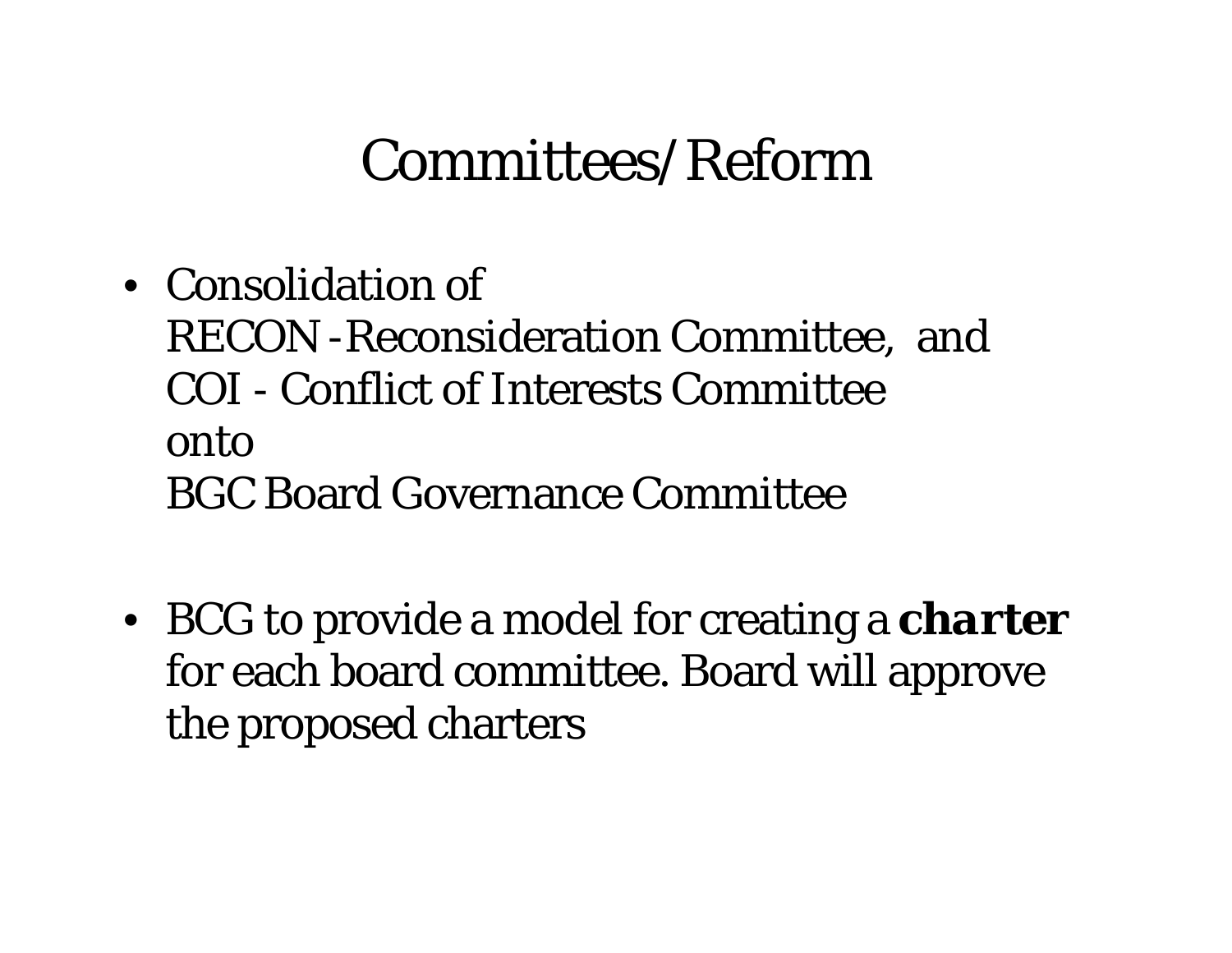### Committees/Reform

- Consolidation of RECON -Reconsideration Committee, and COI - Conflict of Interests Committee onto BGC Board Governance Committee
- BCG to provide a model for creating a *charter*  for each board committee. Board will approve the proposed charters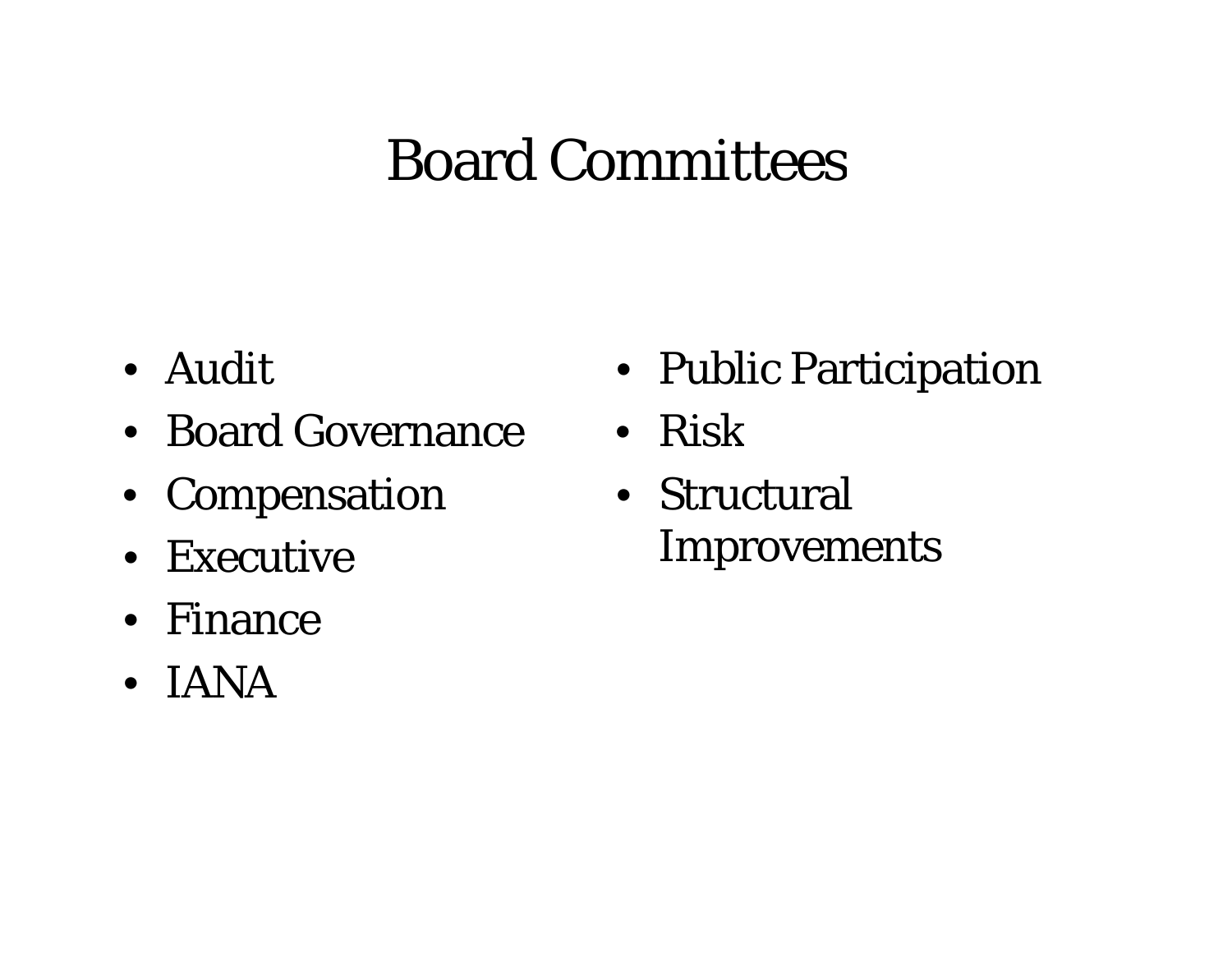# Board Committees

- Audit
- Board Governance
- Compensation
- Executive
- Finance
- IANA
- Public Participation
- e Risk
	- Structural Improvements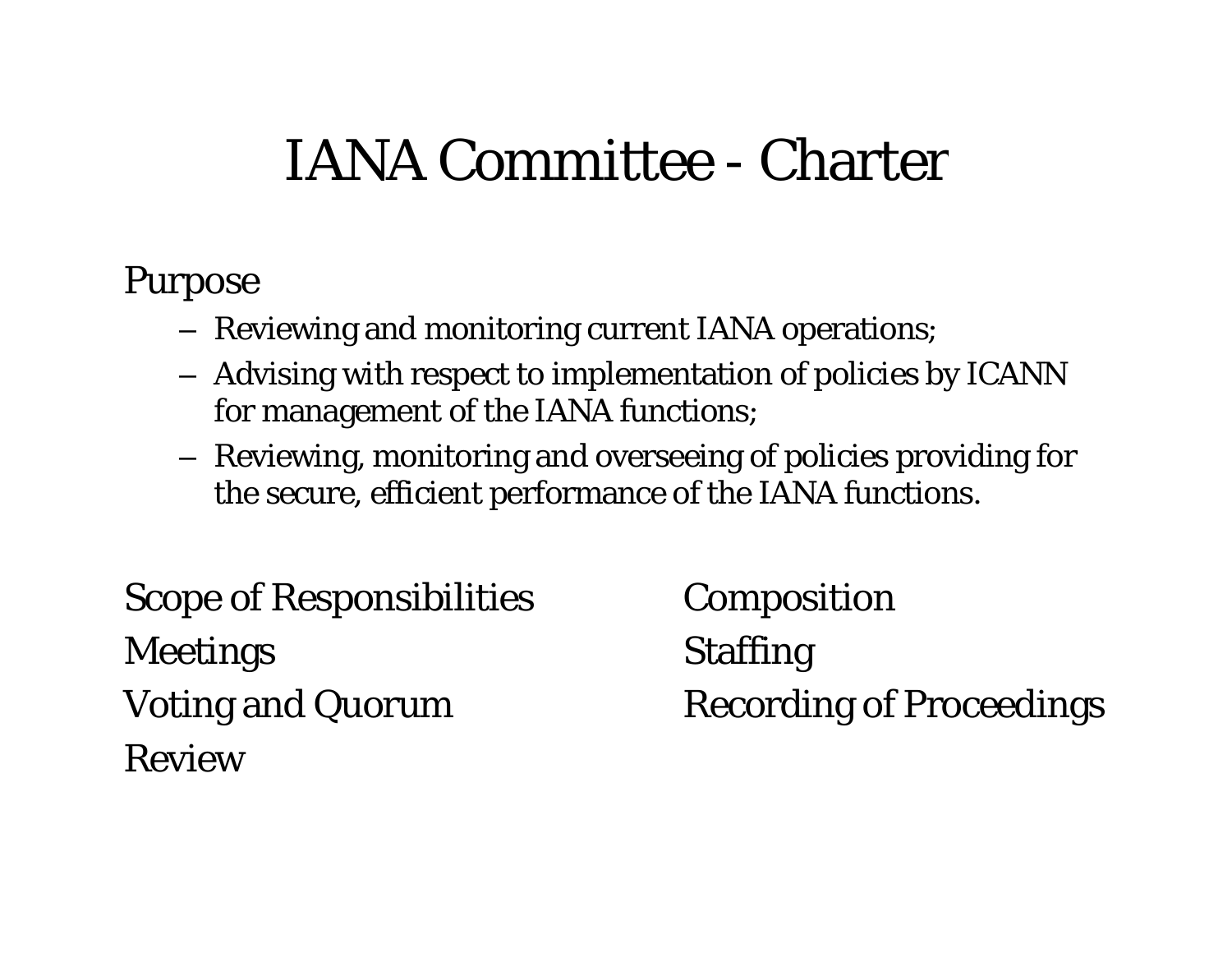#### IANA Committee -Charter

### Pur pose

- Reviewing and monitoring current IANA operations;
- $-$  Advising with respect to implementation of policies by ICANN  $\,$ for management of the IANA functions;
- Reviewing, monitoring and overseeing of policies providing for the secure, efficient performance of the IANA functions.

Scope of Responsibilities Composition Meetings Staffing Review

Voting and Quorum Recording of Proceedings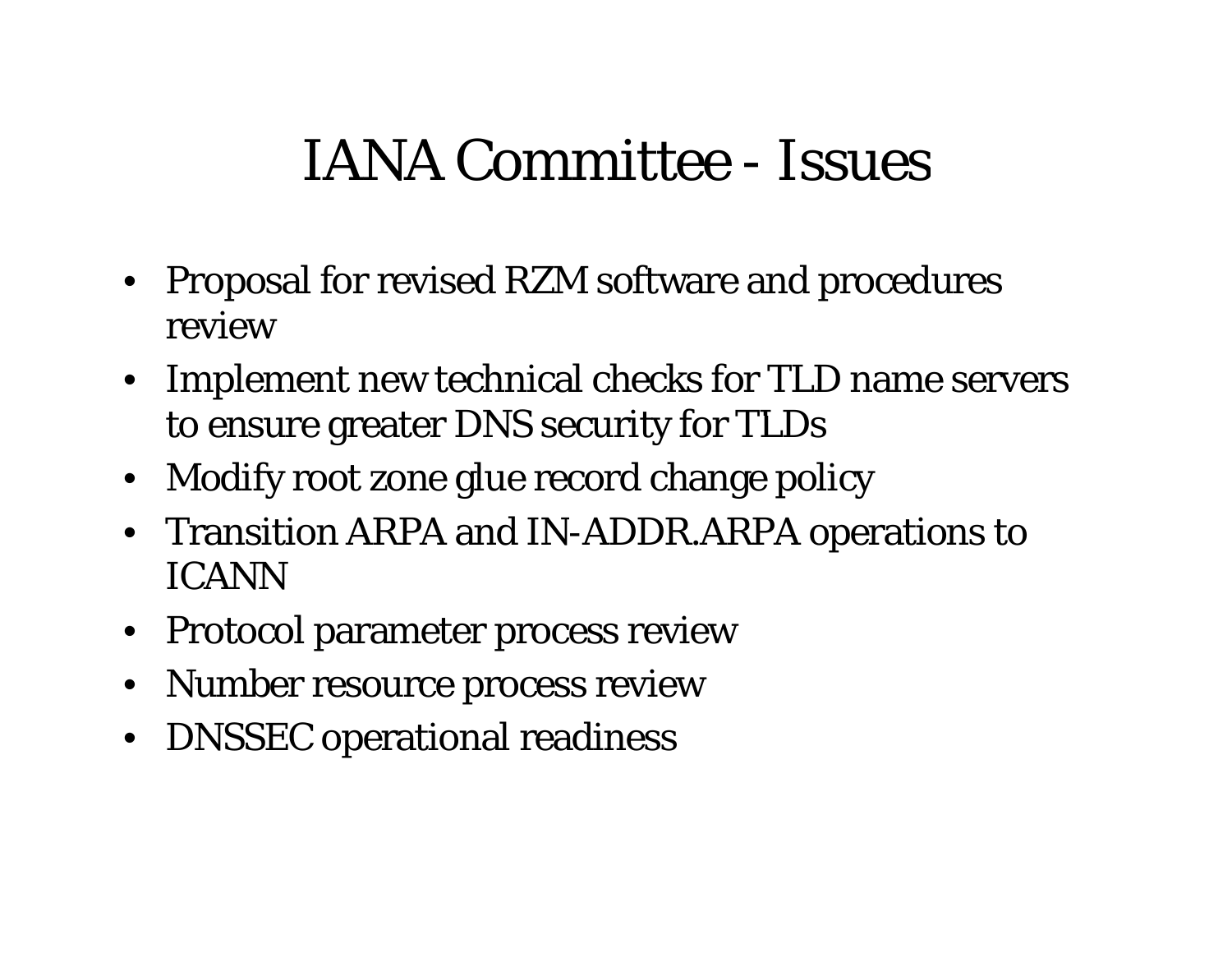#### IANA Committee -- Issues

- Proposal for revised RZM software and procedures review
- Implement new technical checks for TLD name servers to ensure greater DNS security for TLDs
- Modify root zone glue record change policy
- Transition ARPA and IN-ADDR.ARPA operations to ICANN
- Protocol parameter process review
- Number resource process review
- DNSSEC operational readiness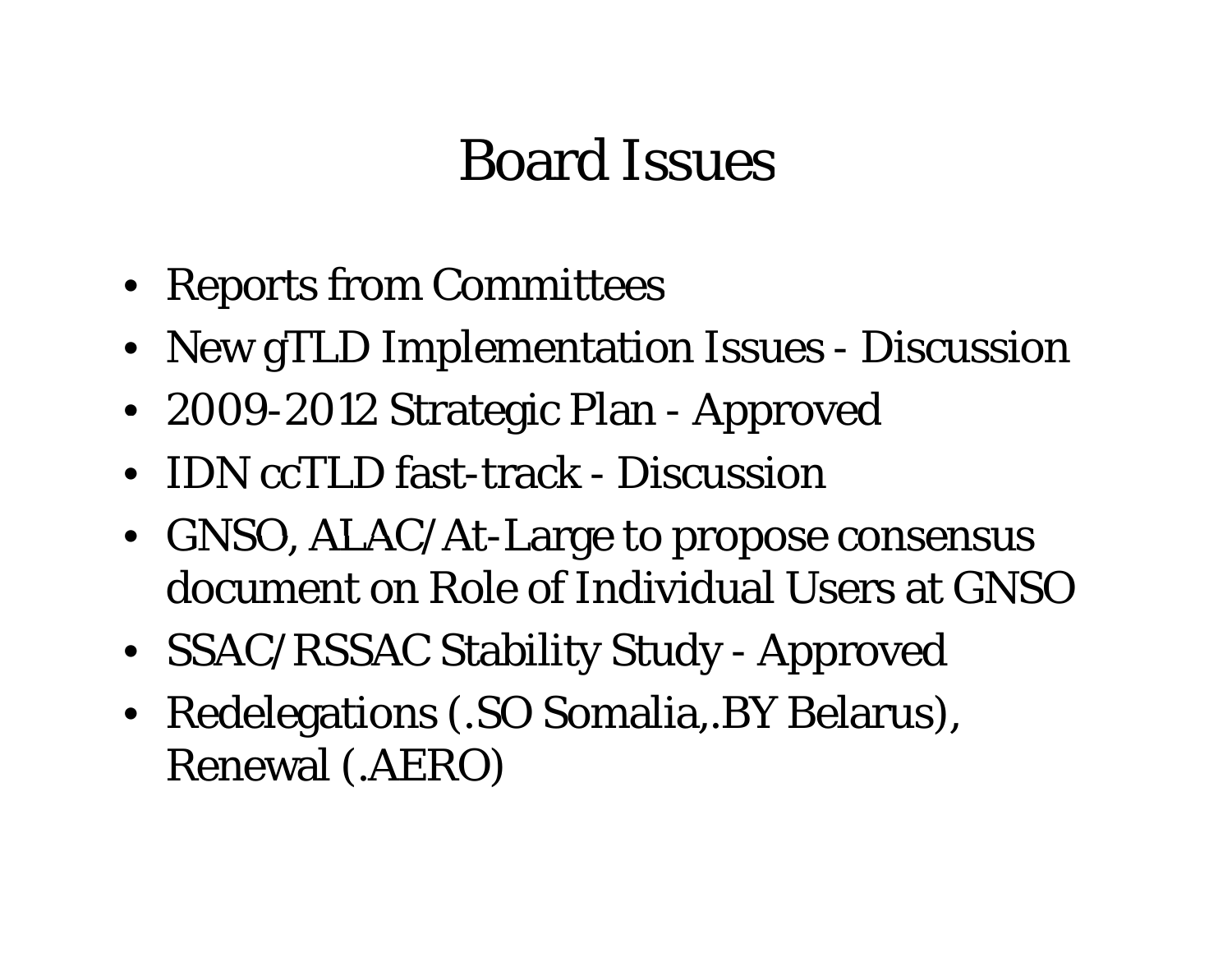# Board Issues

- Reports from Committees
- New gTLD Implementation Issues Discussion
- 2009-2012 Strategic Plan Approved
- IDN ccTLD fast-track Discussion
- GNSO,  $ALAC/At-Large$  to propose consensus document on Role of Individual Users at GNSO
- SSAC/RSSAC Stability Study Approved
- Redelegations (.SO Somalia,.BY Belarus), Renewal (.AERO)